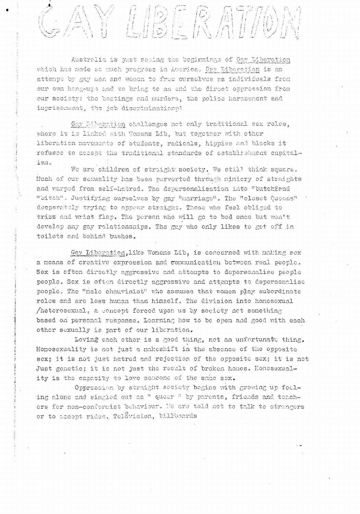

Australia is just seeing the beginnings of Gay Liberation which has made so much progress in America. Gay Liberation is an attempt by gay men and women to free ourselves as individuals from our own hang-ups and to bring to an end the direct oppression from our society: the beatings and murders, the police harassment and imprisonment, the job diserimination?1

Gay Liberation challenges not only traditional sex roles, where it is linked with Womens Lib, but together with other liberation movements of students, radicals, hippies and blacks it refuses to accept the traditional standards of establishment capitalism.

1997年10月,1997年12月,1998年12月,1998年12月14日,10月12日,10月12日,10月12日,10月12日,10月12日,10月12日,10月12日,10月12日,10月12

We are children of straight society. We still think square. Nuch of our sexuality has been perverted through minicry of straights and warped from self-hatred. The depersonalisation into "butchlend "bitch". Justifying ourselves by gay "narriage". The "closet Queens" desperately trying to appear straight. Those who feel obliged to trizz and wrist flap. The person who will go to bed once but won't develop any gay relationships. The guy who only likes to get off in toilets and behind bushes.

Gay Liberation, like Womens Lib, is concerned with making sex a means of creative expression and communication between real people. Sex is often directly aggressive and attempts to depersonalise people people. Sex is often directly aggressive and attempts to depersonalise people. The "nale chauvinist" who assumes that women play subordinate rolos and are less human than himself. The division into honosexual /heterosexual, a concept forced upon us by society net something based on personal response. Learning how to be open and good with each other sexually is part of our liberation.

Loving each other is a good thing, not an unfortunate thing. Homosexuality is not just a makeshift in the absence of the opposite sex; it is not just hatred and rejection of the opposite sex; it is not Just genetic; it is not just the result of broken homes. Homosexuality is the capacity to love someone of the same sex.

Oppression by straight seciety begins with growing up feeling alone and singled out as " queer " by parents, friends and teachers for non-conformist behaviour. We are told not to talk to strangers or to accept rides. Telavision, billboards